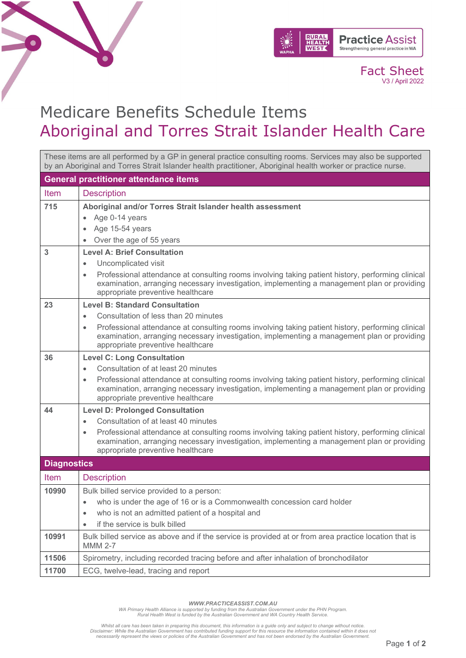

Fact Sheet V3 / April 2022

## Medicare Benefits Schedule Items Aboriginal and Torres Strait Islander Health Care

These items are all performed by a GP in general practice consulting rooms. Services may also be supported by an Aboriginal and Torres Strait Islander health practitioner, Aboriginal health worker or practice nurse.

| <b>General practitioner attendance items</b> |                                                                                                                                                                                                                                                                                                                                                  |  |
|----------------------------------------------|--------------------------------------------------------------------------------------------------------------------------------------------------------------------------------------------------------------------------------------------------------------------------------------------------------------------------------------------------|--|
| Item                                         | <b>Description</b>                                                                                                                                                                                                                                                                                                                               |  |
| 715                                          | Aboriginal and/or Torres Strait Islander health assessment<br>Age 0-14 years<br>Age 15-54 years<br>$\bullet$                                                                                                                                                                                                                                     |  |
|                                              | Over the age of 55 years                                                                                                                                                                                                                                                                                                                         |  |
| 3                                            | <b>Level A: Brief Consultation</b><br>Uncomplicated visit<br>$\bullet$<br>Professional attendance at consulting rooms involving taking patient history, performing clinical<br>$\bullet$<br>examination, arranging necessary investigation, implementing a management plan or providing<br>appropriate preventive healthcare                     |  |
| 23                                           | <b>Level B: Standard Consultation</b><br>Consultation of less than 20 minutes<br>Professional attendance at consulting rooms involving taking patient history, performing clinical<br>$\bullet$<br>examination, arranging necessary investigation, implementing a management plan or providing<br>appropriate preventive healthcare              |  |
| 36                                           | <b>Level C: Long Consultation</b><br>Consultation of at least 20 minutes<br>$\bullet$<br>Professional attendance at consulting rooms involving taking patient history, performing clinical<br>$\bullet$<br>examination, arranging necessary investigation, implementing a management plan or providing<br>appropriate preventive healthcare      |  |
| 44                                           | <b>Level D: Prolonged Consultation</b><br>Consultation of at least 40 minutes<br>$\bullet$<br>Professional attendance at consulting rooms involving taking patient history, performing clinical<br>$\bullet$<br>examination, arranging necessary investigation, implementing a management plan or providing<br>appropriate preventive healthcare |  |
| <b>Diagnostics</b>                           |                                                                                                                                                                                                                                                                                                                                                  |  |
| <b>Item</b>                                  | <b>Description</b>                                                                                                                                                                                                                                                                                                                               |  |
| 10990                                        | Bulk billed service provided to a person:<br>who is under the age of 16 or is a Commonwealth concession card holder<br>$\bullet$<br>who is not an admitted patient of a hospital and<br>$\bullet$<br>if the service is bulk billed                                                                                                               |  |
| 10991                                        | Bulk billed service as above and if the service is provided at or from area practice location that is<br><b>MMM 2-7</b>                                                                                                                                                                                                                          |  |
| 11506                                        | Spirometry, including recorded tracing before and after inhalation of bronchodilator                                                                                                                                                                                                                                                             |  |
| 11700                                        | ECG, twelve-lead, tracing and report                                                                                                                                                                                                                                                                                                             |  |

*WWW.PRACTICEASSIST.COM.AU*

WA Primary Health Alliance is supported by funding from the Australian Government under the PHN Program.<br>Rural Health West is funded by the Australian Government and WA Country Health Service.

Whilst all care has been taken in preparing this document, this information is a guide only and subject to change without notice.<br>Disclaimer: While the Australian Government has contributed funding support for this resourc